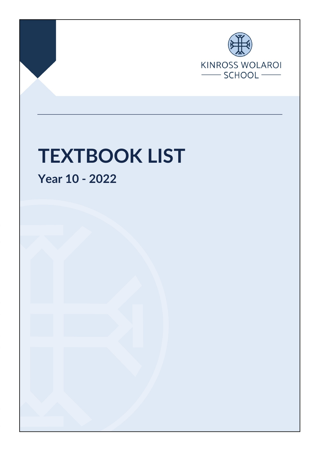

Page **1** of **4** Final Nov 2021

# **TEXTBOOK LIST**

**Year 10 - 2022**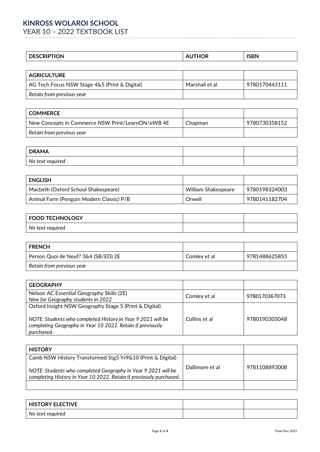# **KINROSS WOLAROI SCHOOL** YEAR 10 – 2022 TEXTBOOK LIST

| <b>CRIPTION</b><br>וח | ΩR | <b>ISBN</b> |
|-----------------------|----|-------------|
|                       |    |             |

| <b>AGRICULTURE</b>                            |                |               |
|-----------------------------------------------|----------------|---------------|
| AG Tech Focus NSW Stage 4&5 (Print & Digital) | Marshall et al | 9780170443111 |
| Retain from previous year                     |                |               |

| l COMMERCE                                        |         |               |
|---------------------------------------------------|---------|---------------|
| New Concepts in Commerce NSW Print/LearnON/eWB 4E | Chapman | 9780730358152 |
| Retain from previous year                         |         |               |

| <b>DRAMA</b>     |  |
|------------------|--|
| No text required |  |

| <b>ENGLISH</b>                           |                     |               |
|------------------------------------------|---------------------|---------------|
| Macbeth (Oxford School Shakespeare)      | William Shakespeare | 9780198324003 |
| Animal Farm (Penguin Modern Classic) P/B | Orwell              | 9780141182704 |

| <b>FOOD TECHNOLOGY</b> |  |
|------------------------|--|
| No text required       |  |

| <b>FRENCH</b>                       |              |               |
|-------------------------------------|--------------|---------------|
| Person Quoi de Neuf? 3&4 (SB/ED) 2E | Comley et al | 9781488625855 |
| Retain from previous year           |              |               |

| <b>GEOGRAPHY</b>                                                                                                                                                                                  |               |               |
|---------------------------------------------------------------------------------------------------------------------------------------------------------------------------------------------------|---------------|---------------|
| Nelson AC Essential Geography Skills (2E)<br>New for Geography students in 2022                                                                                                                   | Comley et al  | 9780170367073 |
| Oxford Insight NSW Geography Stage 5 (Print & Digital)<br>NOTE: Students who completed History in Year 9 2021 will be<br>completing Geography in Year 10 2022. Retain if previously<br>purchased. | Collins et al | 9780190305048 |

| <b>HISTORY</b>                                                                                                                       |                 |               |
|--------------------------------------------------------------------------------------------------------------------------------------|-----------------|---------------|
| Camb NSW History Transformed Stg5 Yr9&10 (Print & Digital)                                                                           |                 |               |
| NOTE: Students who completed Geography in Year 9 2021 will be<br>completing History in Year 10 2022. Retain if previously purchased. | Dallimore et al | 9781108893008 |
|                                                                                                                                      |                 |               |

| <b>HISTORY ELECTIVE</b> |  |
|-------------------------|--|
| No text required        |  |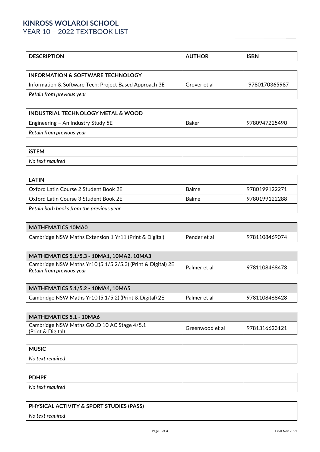# **KINROSS WOLAROI SCHOOL** YEAR 10 – 2022 TEXTBOOK LIST

| .JN.<br>◡ | שנ | <b>ICDN'</b><br>יוטטו |
|-----------|----|-----------------------|
|           |    |                       |

| <b>INFORMATION &amp; SOFTWARE TECHNOLOGY</b>           |              |               |
|--------------------------------------------------------|--------------|---------------|
| Information & Software Tech: Project Based Approach 3E | Grover et al | 9780170365987 |
| Retain from previous year                              |              |               |

| INDUSTRIAL TECHNOLOGY METAL & WOOD |       |               |
|------------------------------------|-------|---------------|
| Engineering - An Industry Study 5E | Baker | 9780947225490 |
| Retain from previous year          |       |               |

| <b>iSTEM</b>     |  |
|------------------|--|
| No text required |  |

| LATIN                                    |       |               |
|------------------------------------------|-------|---------------|
| l Oxford Latin Course 2 Student Book 2E  | Balme | 9780199122271 |
| l Oxford Latin Course 3 Student Book 2E  | Balme | 9780199122288 |
| Retain both books from the previous year |       |               |

| <b>MATHEMATICS 10MA0</b>                               |              |               |
|--------------------------------------------------------|--------------|---------------|
| Cambridge NSW Maths Extension 1 Yr11 (Print & Digital) | Pender et al | 9781108469074 |

| MATHEMATICS 5.1/5.3 - 10MA1, 10MA2, 10MA3                   |              |               |
|-------------------------------------------------------------|--------------|---------------|
| Cambridge NSW Maths Yr10 (5.1/5.2/5.3) (Print & Digital) 2E |              | 9781108468473 |
| Retain from previous year                                   | Palmer et al |               |

| MATHEMATICS 5.1/5.2 - 10MA4, 10MA5                      |              |               |
|---------------------------------------------------------|--------------|---------------|
| Cambridge NSW Maths Yr10 (5.1/5.2) (Print & Digital) 2E | Palmer et al | 9781108468428 |

| <b>MATHEMATICS 5.1 - 10MA6</b>                                  |                 |               |
|-----------------------------------------------------------------|-----------------|---------------|
| Cambridge NSW Maths GOLD 10 AC Stage 4/5.1<br>(Print & Digital) | Greenwood et al | 9781316623121 |

| <b>MUSIC</b>     |  |
|------------------|--|
| No text required |  |

| <b>PDHPE</b>     |  |
|------------------|--|
| No text required |  |

| PHYSICAL ACTIVITY & SPORT STUDIES (PASS) |  |
|------------------------------------------|--|
| No text required                         |  |